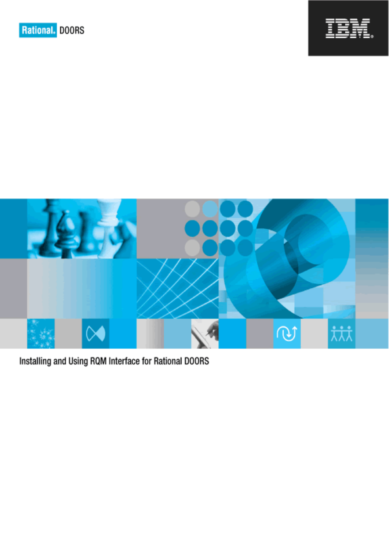



Installing and Using RQM Interface for Rational DOORS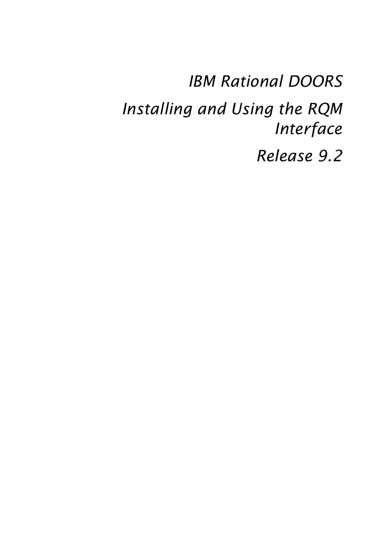*IBM Rational DOORS Installing and Using the RQM Interface Release 9.2*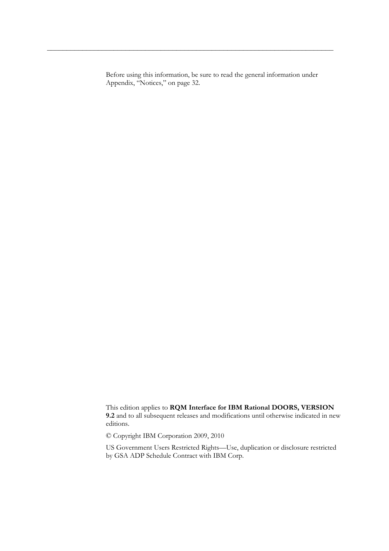Before using this information, be sure to read the general information under Appendix, "Notices," on page 32.

This edition applies to **RQM Interface for IBM Rational DOORS, VERSION 9.2** and to all subsequent releases and modifications until otherwise indicated in new editions.

© Copyright IBM Corporation 2009, 2010

US Government Users Restricted Rights—Use, duplication or disclosure restricted by GSA ADP Schedule Contract with IBM Corp.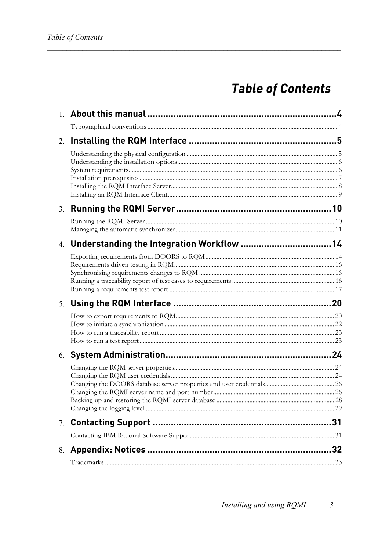# **Table of Contents**

| 2. |                                               |  |
|----|-----------------------------------------------|--|
|    |                                               |  |
|    |                                               |  |
|    |                                               |  |
|    | 4. Understanding the Integration Workflow  14 |  |
|    |                                               |  |
|    |                                               |  |
|    |                                               |  |
|    |                                               |  |
|    |                                               |  |
|    |                                               |  |
|    |                                               |  |
|    |                                               |  |
|    |                                               |  |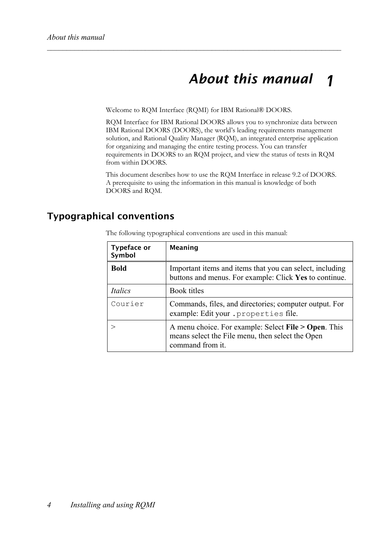### *About this manual 1*

Welcome to RQM Interface (RQMI) for IBM Rational® DOORS.

RQM Interface for IBM Rational DOORS allows you to synchronize data between IBM Rational DOORS (DOORS), the world's leading requirements management solution, and Rational Quality Manager (RQM), an integrated enterprise application for organizing and managing the entire testing process. You can transfer requirements in DOORS to an RQM project, and view the status of tests in RQM from within DOORS.

This document describes how to use the RQM Interface in release 9.2 of DOORS. A prerequisite to using the information in this manual is knowledge of both DOORS and RQM.

## **Typographical conventions**

The following typographical conventions are used in this manual:

| <b>Typeface or</b><br>Symbol | <b>Meaning</b>                                                                                                               |  |  |
|------------------------------|------------------------------------------------------------------------------------------------------------------------------|--|--|
| <b>Bold</b>                  | Important items and items that you can select, including<br>buttons and menus. For example: Click Yes to continue.           |  |  |
| Italics                      | Book titles                                                                                                                  |  |  |
| Courier                      | Commands, files, and directories; computer output. For<br>example: Edit your . properties file.                              |  |  |
|                              | A menu choice. For example: Select File > Open. This<br>means select the File menu, then select the Open<br>command from it. |  |  |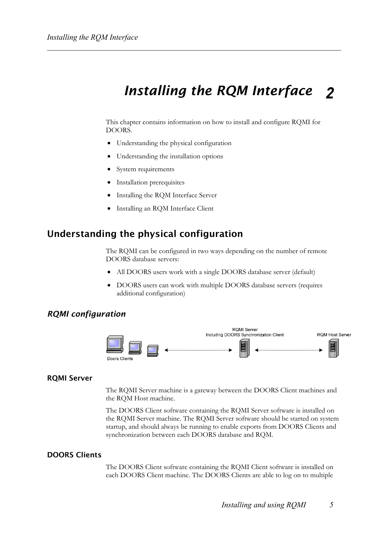### *Installing the RQM Interface 2*

This chapter contains information on how to install and configure RQMI for DOORS.

- Understanding the physical configuration
- Understanding the installation options
- System requirements
- Installation prerequisites
- Installing the RQM Interface Server
- Installing an RQM Interface Client

## **Understanding the physical configuration**

The RQMI can be configured in two ways depending on the number of remote DOORS database servers:

- All DOORS users work with a single DOORS database server (default)
- DOORS users can work with multiple DOORS database servers (requires additional configuration)

### *RQMI configuration*



### **RQMI Server**

The RQMI Server machine is a gateway between the DOORS Client machines and the RQM Host machine.

The DOORS Client software containing the RQMI Server software is installed on the RQMI Server machine. The RQMI Server software should be started on system startup, and should always be running to enable exports from DOORS Clients and synchronization between each DOORS database and RQM.

### **DOORS Clients**

The DOORS Client software containing the RQMI Client software is installed on each DOORS Client machine. The DOORS Clients are able to log on to multiple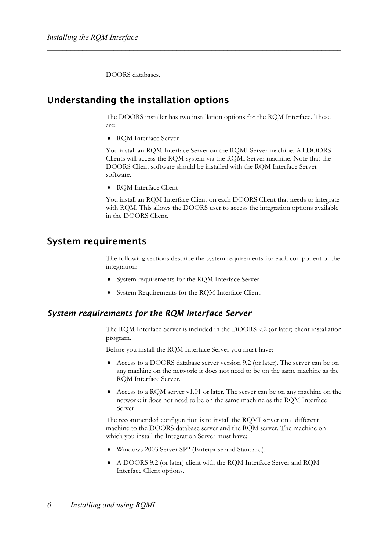DOORS databases.

## **Understanding the installation options**

The DOORS installer has two installation options for the RQM Interface. These are:

• RQM Interface Server

You install an RQM Interface Server on the RQMI Server machine. All DOORS Clients will access the RQM system via the RQMI Server machine. Note that the DOORS Client software should be installed with the RQM Interface Server software.

• RQM Interface Client

You install an RQM Interface Client on each DOORS Client that needs to integrate with RQM. This allows the DOORS user to access the integration options available in the DOORS Client.

### **System requirements**

The following sections describe the system requirements for each component of the integration:

- System requirements for the RQM Interface Server
- System Requirements for the RQM Interface Client

### *System requirements for the RQM Interface Server*

The RQM Interface Server is included in the DOORS 9.2 (or later) client installation program.

Before you install the RQM Interface Server you must have:

- Access to a DOORS database server version 9.2 (or later). The server can be on any machine on the network; it does not need to be on the same machine as the RQM Interface Server.
- Access to a RQM server v1.01 or later. The server can be on any machine on the network; it does not need to be on the same machine as the RQM Interface Server.

The recommended configuration is to install the RQMI server on a different machine to the DOORS database server and the RQM server. The machine on which you install the Integration Server must have:

- Windows 2003 Server SP2 (Enterprise and Standard).
- A DOORS 9.2 (or later) client with the RQM Interface Server and RQM Interface Client options.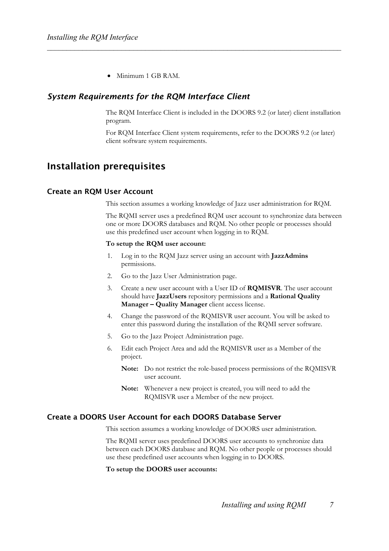• Minimum 1 GB RAM.

### *System Requirements for the RQM Interface Client*

The RQM Interface Client is included in the DOORS 9.2 (or later) client installation program.

For RQM Interface Client system requirements, refer to the DOORS 9.2 (or later) client software system requirements.

## **Installation prerequisites**

### **Create an RQM User Account**

This section assumes a working knowledge of Jazz user administration for RQM.

The RQMI server uses a predefined RQM user account to synchronize data between one or more DOORS databases and RQM. No other people or processes should use this predefined user account when logging in to RQM.

#### **To setup the RQM user account:**

- 1. Log in to the RQM Jazz server using an account with **JazzAdmins** permissions.
- 2. Go to the Jazz User Administration page.
- 3. Create a new user account with a User ID of **RQMISVR**. The user account should have **JazzUsers** repository permissions and a **Rational Quality Manager – Quality Manager** client access license.
- 4. Change the password of the RQMISVR user account. You will be asked to enter this password during the installation of the RQMI server software.
- 5. Go to the Jazz Project Administration page.
- 6. Edit each Project Area and add the RQMISVR user as a Member of the project.
	- **Note:** Do not restrict the role-based process permissions of the RQMISVR user account.
	- **Note:** Whenever a new project is created, you will need to add the RQMISVR user a Member of the new project.

### **Create a DOORS User Account for each DOORS Database Server**

This section assumes a working knowledge of DOORS user administration.

The RQMI server uses predefined DOORS user accounts to synchronize data between each DOORS database and RQM. No other people or processes should use these predefined user accounts when logging in to DOORS.

**To setup the DOORS user accounts:**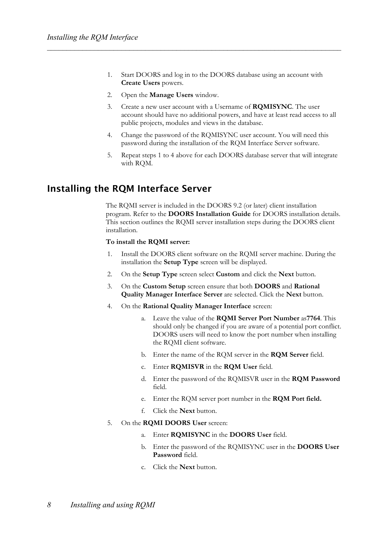- 1. Start DOORS and log in to the DOORS database using an account with **Create Users** powers.
- 2. Open the **Manage Users** window.
- 3. Create a new user account with a Username of **RQMISYNC**. The user account should have no additional powers, and have at least read access to all public projects, modules and views in the database.
- 4. Change the password of the RQMISYNC user account. You will need this password during the installation of the RQM Interface Server software.
- 5. Repeat steps 1 to 4 above for each DOORS database server that will integrate with RQM.

## **Installing the RQM Interface Server**

The RQMI server is included in the DOORS 9.2 (or later) client installation program. Refer to the **DOORS Installation Guide** for DOORS installation details. This section outlines the RQMI server installation steps during the DOORS client installation.

### **To install the RQMI server:**

- 1. Install the DOORS client software on the RQMI server machine. During the installation the **Setup Type** screen will be displayed.
- 2. On the **Setup Type** screen select **Custom** and click the **Next** button.
- 3. On the **Custom Setup** screen ensure that both **DOORS** and **Rational Quality Manager Interface Server** are selected. Click the **Next** button.
- 4. On the **Rational Quality Manager Interface** screen:
	- a. Leave the value of the **RQMI Server Port Number** as**7764**. This should only be changed if you are aware of a potential port conflict. DOORS users will need to know the port number when installing the RQMI client software.
	- b. Enter the name of the RQM server in the **RQM Server** field.
	- c. Enter **RQMISVR** in the **RQM User** field.
	- d. Enter the password of the RQMISVR user in the **RQM Password** field.
	- e. Enter the RQM server port number in the **RQM Port field.**
	- f. Click the **Next** button.
- 5. On the **RQMI DOORS User** screen:
	- a. Enter **RQMISYNC** in the **DOORS User** field.
	- b. Enter the password of the RQMISYNC user in the **DOORS User Password** field.
	- c. Click the **Next** button.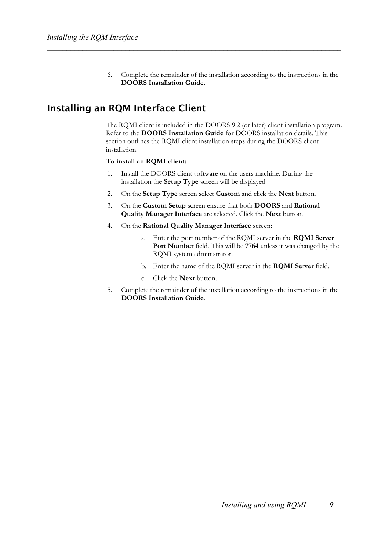6. Complete the remainder of the installation according to the instructions in the **DOORS Installation Guide**.

## **Installing an RQM Interface Client**

The RQMI client is included in the DOORS 9.2 (or later) client installation program. Refer to the **DOORS Installation Guide** for DOORS installation details. This section outlines the RQMI client installation steps during the DOORS client installation.

### **To install an RQMI client:**

- 1. Install the DOORS client software on the users machine. During the installation the **Setup Type** screen will be displayed
- 2. On the **Setup Type** screen select **Custom** and click the **Next** button.
- 3. On the **Custom Setup** screen ensure that both **DOORS** and **Rational Quality Manager Interface** are selected. Click the **Next** button.
- 4. On the **Rational Quality Manager Interface** screen:
	- a. Enter the port number of the RQMI server in the **RQMI Server Port Number** field. This will be **7764** unless it was changed by the RQMI system administrator.
	- b. Enter the name of the RQMI server in the **RQMI Server** field.
	- c. Click the **Next** button.
- 5. Complete the remainder of the installation according to the instructions in the **DOORS Installation Guide**.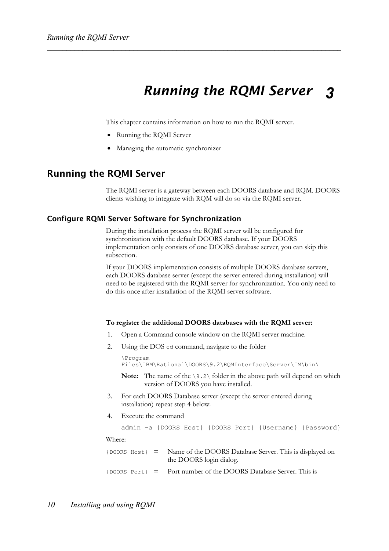### *Running the RQMI Server 3*

This chapter contains information on how to run the RQMI server.

- Running the RQMI Server
- Managing the automatic synchronizer

### **Running the RQMI Server**

The RQMI server is a gateway between each DOORS database and RQM. DOORS clients wishing to integrate with RQM will do so via the RQMI server.

### **Configure RQMI Server Software for Synchronization**

During the installation process the RQMI server will be configured for synchronization with the default DOORS database. If your DOORS implementation only consists of one DOORS database server, you can skip this subsection.

If your DOORS implementation consists of multiple DOORS database servers, each DOORS database server (except the server entered during installation) will need to be registered with the RQMI server for synchronization. You only need to do this once after installation of the RQMI server software.

#### **To register the additional DOORS databases with the RQMI server:**

- 1. Open a Command console window on the RQMI server machine.
- 2. Using the DOS cd command, navigate to the folder

```
\Program 
Files\IBM\Rational\DOORS\9.2\RQMInterface\Server\IM\bin\
```
**Note:** The name of the \9.2\ folder in the above path will depend on which version of DOORS you have installed.

- 3. For each DOORS Database server (except the server entered during installation) repeat step 4 below.
- 4. Execute the command

admin –a {DOORS Host} {DOORS Port} {Username} {Password}

Where:

|  | $\{$ DOORS Host $\}$ = Name of the DOORS Database Server. This is displayed on<br>the DOORS login dialog. |
|--|-----------------------------------------------------------------------------------------------------------|
|  | $\{$ DOORS Port $}$ = Port number of the DOORS Database Server. This is                                   |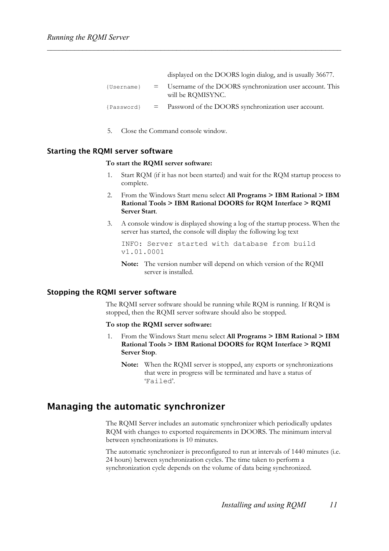displayed on the DOORS login dialog, and is usually 36677. {Username} = Username of the DOORS synchronization user account. This will be RQMISYNC.

{Password} = Password of the DOORS synchronization user account.

5. Close the Command console window.

### **Starting the RQMI server software**

### **To start the RQMI server software:**

- 1. Start RQM (if it has not been started) and wait for the RQM startup process to complete.
- 2. From the Windows Start menu select **All Programs > IBM Rational > IBM Rational Tools > IBM Rational DOORS for RQM Interface > RQMI Server Start**.
- 3. A console window is displayed showing a log of the startup process. When the server has started, the console will display the following log text

```
INFO: Server started with database from build 
v1.01.0001
```
**Note:** The version number will depend on which version of the RQMI server is installed.

### **Stopping the RQMI server software**

The RQMI server software should be running while RQM is running. If RQM is stopped, then the RQMI server software should also be stopped.

### **To stop the RQMI server software:**

- 1. From the Windows Start menu select **All Programs > IBM Rational > IBM Rational Tools > IBM Rational DOORS for RQM Interface > RQMI Server Stop**.
	- **Note:** When the RQMI server is stopped, any exports or synchronizations that were in progress will be terminated and have a status of 'Failed'.

### **Managing the automatic synchronizer**

The RQMI Server includes an automatic synchronizer which periodically updates RQM with changes to exported requirements in DOORS. The minimum interval between synchronizations is 10 minutes.

The automatic synchronizer is preconfigured to run at intervals of 1440 minutes (i.e. 24 hours) between synchronization cycles. The time taken to perform a synchronization cycle depends on the volume of data being synchronized.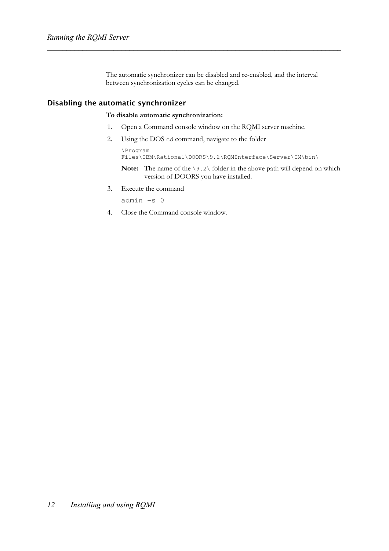The automatic synchronizer can be disabled and re-enabled, and the interval between synchronization cycles can be changed.

### **Disabling the automatic synchronizer**

### **To disable automatic synchronization:**

- 1. Open a Command console window on the RQMI server machine.
- 2. Using the DOS cd command, navigate to the folder

```
\Program 
Files\IBM\Rational\DOORS\9.2\RQMInterface\Server\IM\bin\
```
- **Note:** The name of the \9.2\ folder in the above path will depend on which version of DOORS you have installed.
- 3. Execute the command

admin –s 0

4. Close the Command console window.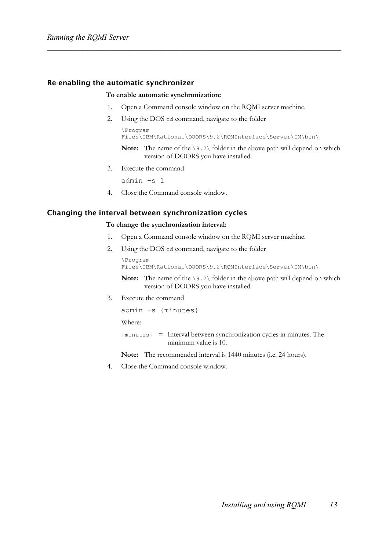### **Re-enabling the automatic synchronizer**

#### **To enable automatic synchronization:**

- 1. Open a Command console window on the RQMI server machine.
- 2. Using the DOS cd command, navigate to the folder

```
\Program 
Files\IBM\Rational\DOORS\9.2\RQMInterface\Server\IM\bin\
```
- **Note:** The name of the \9.2\ folder in the above path will depend on which version of DOORS you have installed.
- 3. Execute the command

admin –s 1

4. Close the Command console window.

### **Changing the interval between synchronization cycles**

### **To change the synchronization interval:**

- 1. Open a Command console window on the RQMI server machine.
- 2. Using the DOS cd command, navigate to the folder

```
\Program 
Files\IBM\Rational\DOORS\9.2\RQMInterface\Server\IM\bin\
```
**Note:** The name of the  $\9.2\$  folder in the above path will depend on which version of DOORS you have installed.

3. Execute the command

```
admin –s {minutes}
```
Where:

```
{minutes} = Interval between synchronization cycles in minutes. The 
               minimum value is 10.
```
**Note:** The recommended interval is 1440 minutes (i.e. 24 hours).

4. Close the Command console window.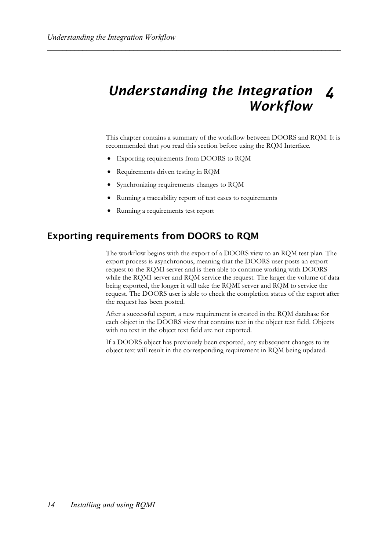## *Understanding the Integration Workflow 4*

This chapter contains a summary of the workflow between DOORS and RQM. It is recommended that you read this section before using the RQM Interface.

- Exporting requirements from DOORS to RQM
- Requirements driven testing in RQM
- Synchronizing requirements changes to RQM
- Running a traceability report of test cases to requirements
- Running a requirements test report

## **Exporting requirements from DOORS to RQM**

The workflow begins with the export of a DOORS view to an RQM test plan. The export process is asynchronous, meaning that the DOORS user posts an export request to the RQMI server and is then able to continue working with DOORS while the RQMI server and RQM service the request. The larger the volume of data being exported, the longer it will take the RQMI server and RQM to service the request. The DOORS user is able to check the completion status of the export after the request has been posted.

After a successful export, a new requirement is created in the RQM database for each object in the DOORS view that contains text in the object text field. Objects with no text in the object text field are not exported.

If a DOORS object has previously been exported, any subsequent changes to its object text will result in the corresponding requirement in RQM being updated.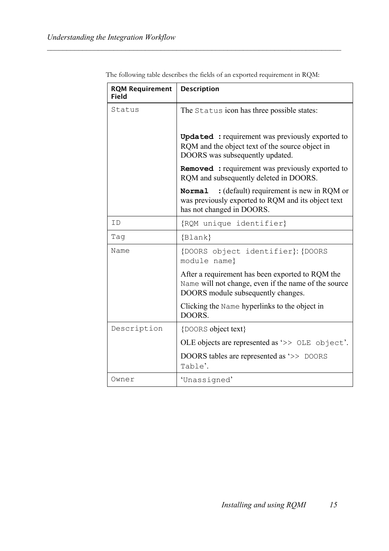| <b>RQM Requirement</b><br><b>Field</b> | <b>Description</b>                                                                                                                             |
|----------------------------------------|------------------------------------------------------------------------------------------------------------------------------------------------|
| Status                                 | The Status icon has three possible states:                                                                                                     |
|                                        | <b>Updated</b> : requirement was previously exported to<br>RQM and the object text of the source object in<br>DOORS was subsequently updated.  |
|                                        | <b>Removed</b> : requirement was previously exported to<br>RQM and subsequently deleted in DOORS.                                              |
|                                        | : (default) requirement is new in RQM or<br>Normal<br>was previously exported to RQM and its object text<br>has not changed in DOORS.          |
| T D                                    | {RQM unique identifier}                                                                                                                        |
| Taq                                    | $\{Blank\}$                                                                                                                                    |
| Name                                   | {DOORS object identifier}: {DOORS<br>module name}                                                                                              |
|                                        | After a requirement has been exported to RQM the<br>Name will not change, even if the name of the source<br>DOORS module subsequently changes. |
|                                        | Clicking the Name hyperlinks to the object in<br>DOORS.                                                                                        |
| Description                            | {DOORS object text}                                                                                                                            |
|                                        | OLE objects are represented as '>> OLE object'.                                                                                                |
|                                        | DOORS tables are represented as '>> DOORS<br>Table'.                                                                                           |
| Owner                                  | 'Unassigned'                                                                                                                                   |

The following table describes the fields of an exported requirement in RQM: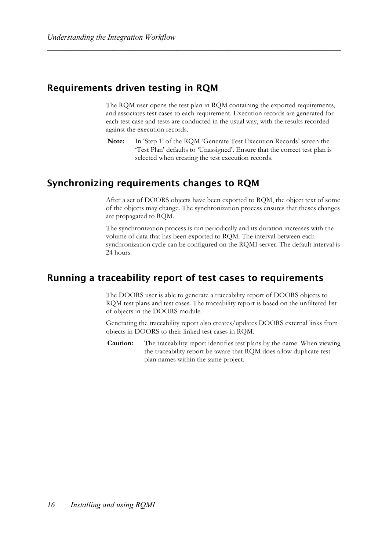## **Requirements driven testing in RQM**

The RQM user opens the test plan in RQM containing the exported requirements, and associates test cases to each requirement. Execution records are generated for each test case and tests are conducted in the usual way, with the results recorded against the execution records.

**Note:** In 'Step 1' of the RQM 'Generate Test Execution Records' screen the 'Test Plan' defaults to 'Unassigned'. Ensure that the correct test plan is selected when creating the test execution records.

## **Synchronizing requirements changes to RQM**

After a set of DOORS objects have been exported to RQM, the object text of some of the objects may change. The synchronization process ensures that theses changes are propagated to RQM.

The synchronization process is run periodically and its duration increases with the volume of data that has been exported to RQM. The interval between each synchronization cycle can be configured on the RQMI server. The default interval is 24 hours.

## **Running a traceability report of test cases to requirements**

The DOORS user is able to generate a traceability report of DOORS objects to RQM test plans and test cases. The traceability report is based on the unfiltered list of objects in the DOORS module.

Generating the traceability report also creates/updates DOORS external links from objects in DOORS to their linked test cases in RQM.

**Caution:** The traceability report identifies test plans by the name. When viewing the traceability report be aware that RQM does allow duplicate test plan names within the same project.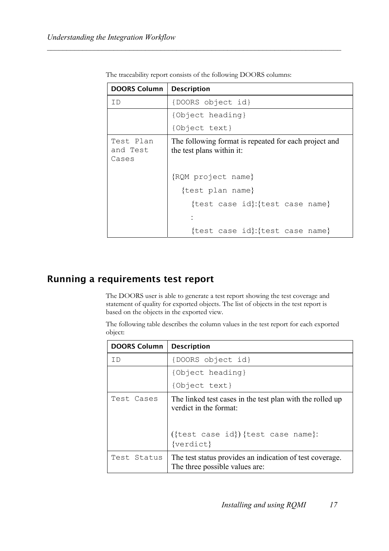| DOORS Column                   | <b>Description</b>                                                                 |  |  |
|--------------------------------|------------------------------------------------------------------------------------|--|--|
| ID                             | {DOORS object id}                                                                  |  |  |
|                                | {Object heading}                                                                   |  |  |
|                                | {Object text}                                                                      |  |  |
| Test Plan<br>and Test<br>Cases | The following format is repeated for each project and<br>the test plans within it: |  |  |
|                                | {RQM project name}                                                                 |  |  |
|                                | {test plan name}                                                                   |  |  |
|                                | {test case id}: {test case name}                                                   |  |  |
|                                |                                                                                    |  |  |
|                                | {test case id}: {test case name}                                                   |  |  |

The traceability report consists of the following DOORS columns:

## **Running a requirements test report**

The DOORS user is able to generate a test report showing the test coverage and statement of quality for exported objects. The list of objects in the test report is based on the objects in the exported view.

The following table describes the column values in the test report for each exported object:

| <b>DOORS Column</b> | <b>Description</b>                                                                         |
|---------------------|--------------------------------------------------------------------------------------------|
| ΤD                  | {DOORS object id}                                                                          |
|                     | {Object heading}                                                                           |
|                     | {Object text}                                                                              |
| Test Cases          | The linked test cases in the test plan with the rolled up<br>verdict in the format:        |
|                     | ({test case id}) {test case name}:<br>{verdict}                                            |
| Test Status         | The test status provides an indication of test coverage.<br>The three possible values are: |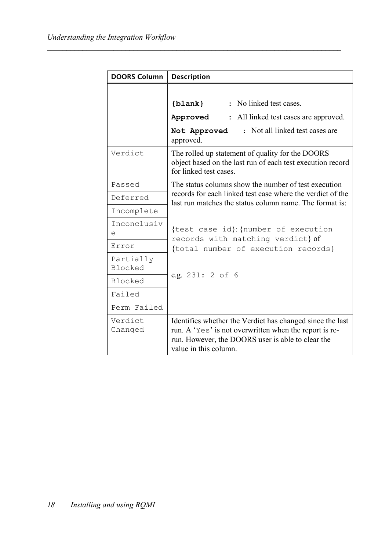| <b>DOORS Column</b>         | <b>Description</b>                                                                                                                                                                                |
|-----------------------------|---------------------------------------------------------------------------------------------------------------------------------------------------------------------------------------------------|
|                             | : No linked test cases.<br>$\{blank\}$<br>: All linked test cases are approved.<br>Approved<br>: Not all linked test cases are<br>Not Approved<br>approved.                                       |
| Verdict                     | The rolled up statement of quality for the DOORS<br>object based on the last run of each test execution record<br>for linked test cases.                                                          |
| Passed                      | The status columns show the number of test execution                                                                                                                                              |
| Deferred                    | records for each linked test case where the verdict of the<br>last run matches the status column name. The format is:                                                                             |
| Incomplete                  |                                                                                                                                                                                                   |
| Inconclusiv<br>e            | {test case id}: {number of execution<br>records with matching verdict} of                                                                                                                         |
| Error                       | {total number of execution records}                                                                                                                                                               |
| Partially<br><b>Blocked</b> |                                                                                                                                                                                                   |
| <b>Blocked</b>              | e.g. 231: 2 of 6                                                                                                                                                                                  |
| Failed                      |                                                                                                                                                                                                   |
| Perm Failed                 |                                                                                                                                                                                                   |
| Verdict<br>Changed          | Identifies whether the Verdict has changed since the last<br>run. A 'Yes' is not overwritten when the report is re-<br>run. However, the DOORS user is able to clear the<br>value in this column. |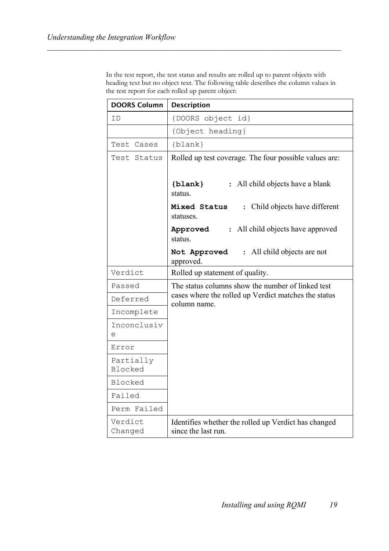In the test report, the test status and results are rolled up to parent objects with heading text but no object text. The following table describes the column values in the test report for each rolled up parent object:

| <b>DOORS Column</b>         | <b>Description</b>                                                          |  |
|-----------------------------|-----------------------------------------------------------------------------|--|
| ΙD                          | {DOORS object id}                                                           |  |
|                             | {Object heading}                                                            |  |
| Test Cases                  | $\{blank\}$                                                                 |  |
| Test Status                 | Rolled up test coverage. The four possible values are:                      |  |
|                             | : All child objects have a blank<br>$\{blank\}$<br>status.                  |  |
|                             | : Child objects have different<br>Mixed Status<br>statuses.                 |  |
|                             | : All child objects have approved<br>Approved<br>status.                    |  |
|                             | All child objects are not<br>Not Approved<br>$\ddot{\cdot}$<br>approved.    |  |
| Verdict                     | Rolled up statement of quality.                                             |  |
| Passed                      | The status columns show the number of linked test                           |  |
| Deferred                    | cases where the rolled up Verdict matches the status<br>column name.        |  |
| Incomplete                  |                                                                             |  |
| Inconclusiv<br>е            |                                                                             |  |
| Error                       |                                                                             |  |
| Partially<br><b>Blocked</b> |                                                                             |  |
| Blocked                     |                                                                             |  |
| Failed                      |                                                                             |  |
| Perm Failed                 |                                                                             |  |
| Verdict<br>Changed          | Identifies whether the rolled up Verdict has changed<br>since the last run. |  |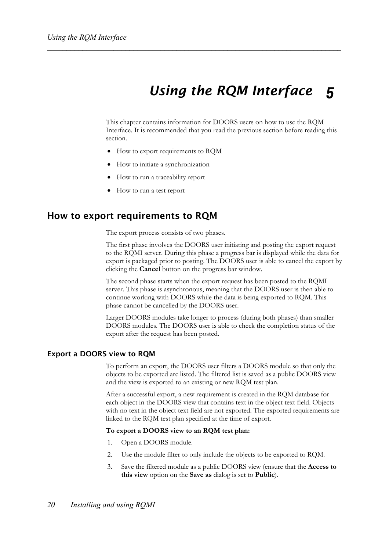### *Using the RQM Interface 5*

This chapter contains information for DOORS users on how to use the RQM Interface. It is recommended that you read the previous section before reading this section.

- How to export requirements to RQM
- How to initiate a synchronization
- How to run a traceability report
- How to run a test report

### **How to export requirements to RQM**

The export process consists of two phases.

The first phase involves the DOORS user initiating and posting the export request to the RQMI server. During this phase a progress bar is displayed while the data for export is packaged prior to posting. The DOORS user is able to cancel the export by clicking the **Cancel** button on the progress bar window.

The second phase starts when the export request has been posted to the RQMI server. This phase is asynchronous, meaning that the DOORS user is then able to continue working with DOORS while the data is being exported to RQM. This phase cannot be cancelled by the DOORS user.

Larger DOORS modules take longer to process (during both phases) than smaller DOORS modules. The DOORS user is able to check the completion status of the export after the request has been posted.

### **Export a DOORS view to RQM**

To perform an export, the DOORS user filters a DOORS module so that only the objects to be exported are listed. The filtered list is saved as a public DOORS view and the view is exported to an existing or new RQM test plan.

After a successful export, a new requirement is created in the RQM database for each object in the DOORS view that contains text in the object text field. Objects with no text in the object text field are not exported. The exported requirements are linked to the RQM test plan specified at the time of export.

### **To export a DOORS view to an RQM test plan:**

- 1. Open a DOORS module.
- 2. Use the module filter to only include the objects to be exported to RQM.
- 3. Save the filtered module as a public DOORS view (ensure that the **Access to this view** option on the **Save as** dialog is set to **Public**).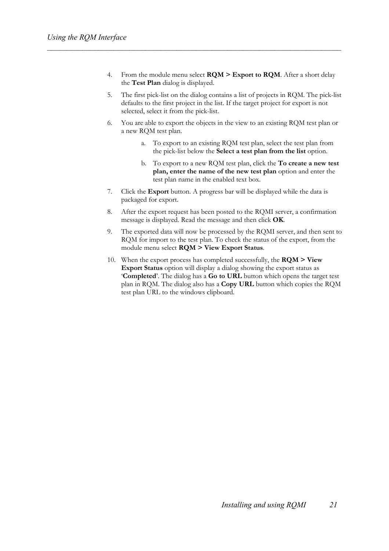- 4. From the module menu select **RQM > Export to RQM**. After a short delay the **Test Plan** dialog is displayed.
- 5. The first pick-list on the dialog contains a list of projects in RQM. The pick-list defaults to the first project in the list. If the target project for export is not selected, select it from the pick-list.
- 6. You are able to export the objects in the view to an existing RQM test plan or a new RQM test plan.
	- a. To export to an existing RQM test plan, select the test plan from the pick-list below the **Select a test plan from the list** option.
	- b. To export to a new RQM test plan, click the **To create a new test plan, enter the name of the new test plan** option and enter the test plan name in the enabled text box.
- 7. Click the **Export** button. A progress bar will be displayed while the data is packaged for export.
- 8. After the export request has been posted to the RQMI server, a confirmation message is displayed. Read the message and then click **OK**.
- 9. The exported data will now be processed by the RQMI server, and then sent to RQM for import to the test plan. To check the status of the export, from the module menu select **RQM > View Export Status**.
- 10. When the export process has completed successfully, the **RQM > View Export Status** option will display a dialog showing the export status as '**Completed**'. The dialog has a **Go to URL** button which opens the target test plan in RQM. The dialog also has a **Copy URL** button which copies the RQM test plan URL to the windows clipboard.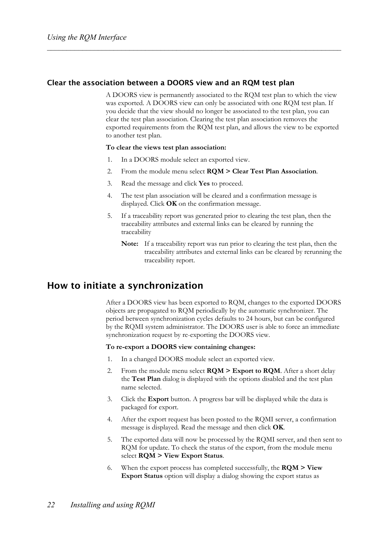### **Clear the association between a DOORS view and an RQM test plan**

A DOORS view is permanently associated to the RQM test plan to which the view was exported. A DOORS view can only be associated with one RQM test plan. If you decide that the view should no longer be associated to the test plan, you can clear the test plan association. Clearing the test plan association removes the exported requirements from the RQM test plan, and allows the view to be exported to another test plan.

### **To clear the views test plan association:**

- 1. In a DOORS module select an exported view.
- 2. From the module menu select **RQM > Clear Test Plan Association**.
- 3. Read the message and click **Yes** to proceed.
- 4. The test plan association will be cleared and a confirmation message is displayed. Click **OK** on the confirmation message.
- 5. If a traceability report was generated prior to clearing the test plan, then the traceability attributes and external links can be cleared by running the traceability
	- **Note:** If a traceability report was run prior to clearing the test plan, then the traceability attributes and external links can be cleared by rerunning the traceability report.

## **How to initiate a synchronization**

After a DOORS view has been exported to RQM, changes to the exported DOORS objects are propagated to RQM periodically by the automatic synchronizer. The period between synchronization cycles defaults to 24 hours, but can be configured by the RQMI system administrator. The DOORS user is able to force an immediate synchronization request by re-exporting the DOORS view.

### **To re-export a DOORS view containing changes:**

- 1. In a changed DOORS module select an exported view.
- 2. From the module menu select **RQM > Export to RQM**. After a short delay the **Test Plan** dialog is displayed with the options disabled and the test plan name selected.
- 3. Click the **Export** button. A progress bar will be displayed while the data is packaged for export.
- 4. After the export request has been posted to the RQMI server, a confirmation message is displayed. Read the message and then click **OK**.
- 5. The exported data will now be processed by the RQMI server, and then sent to RQM for update. To check the status of the export, from the module menu select **RQM > View Export Status**.
- 6. When the export process has completed successfully, the **RQM > View Export Status** option will display a dialog showing the export status as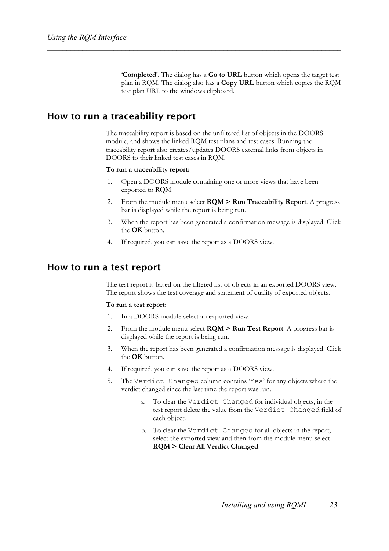'**Completed**'. The dialog has a **Go to URL** button which opens the target test plan in RQM. The dialog also has a **Copy URL** button which copies the RQM test plan URL to the windows clipboard.

## **How to run a traceability report**

The traceability report is based on the unfiltered list of objects in the DOORS module, and shows the linked RQM test plans and test cases. Running the traceability report also creates/updates DOORS external links from objects in DOORS to their linked test cases in RQM.

### **To run a traceability report:**

- 1. Open a DOORS module containing one or more views that have been exported to RQM.
- 2. From the module menu select **RQM > Run Traceability Report**. A progress bar is displayed while the report is being run.
- 3. When the report has been generated a confirmation message is displayed. Click the **OK** button.
- 4. If required, you can save the report as a DOORS view.

### **How to run a test report**

The test report is based on the filtered list of objects in an exported DOORS view. The report shows the test coverage and statement of quality of exported objects.

#### **To run a test report:**

- 1. In a DOORS module select an exported view.
- 2. From the module menu select **RQM > Run Test Report**. A progress bar is displayed while the report is being run.
- 3. When the report has been generated a confirmation message is displayed. Click the **OK** button.
- 4. If required, you can save the report as a DOORS view.
- 5. The Verdict Changed column contains 'Yes' for any objects where the verdict changed since the last time the report was run.
	- a. To clear the Verdict Changed for individual objects, in the test report delete the value from the Verdict Changed field of each object.
	- b. To clear the Verdict Changed for all objects in the report, select the exported view and then from the module menu select **RQM > Clear All Verdict Changed**.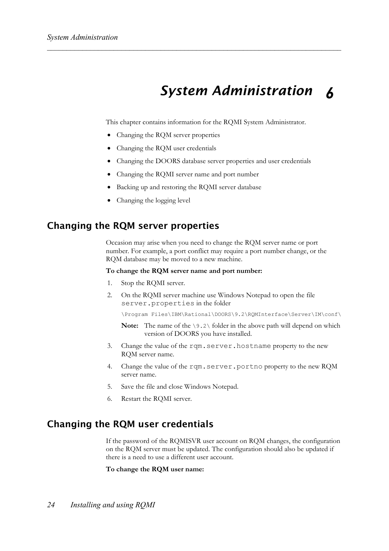### *System Administration 6*

This chapter contains information for the RQMI System Administrator.

- Changing the RQM server properties
- Changing the RQM user credentials
- Changing the DOORS database server properties and user credentials
- Changing the RQMI server name and port number
- Backing up and restoring the RQMI server database
- Changing the logging level

### **Changing the RQM server properties**

Occasion may arise when you need to change the RQM server name or port number. For example, a port conflict may require a port number change, or the RQM database may be moved to a new machine.

#### **To change the RQM server name and port number:**

- 1. Stop the RQMI server.
- 2. On the RQMI server machine use Windows Notepad to open the file server.properties in the folder

\Program Files\IBM\Rational\DOORS\9.2\RQMInterface\Server\IM\conf\

- **Note:** The name of the \9.2\ folder in the above path will depend on which version of DOORS you have installed.
- 3. Change the value of the rqm.server.hostname property to the new RQM server name.
- 4. Change the value of the rqm.server.portno property to the new RQM server name.
- 5. Save the file and close Windows Notepad.
- 6. Restart the RQMI server.

## **Changing the RQM user credentials**

If the password of the RQMISVR user account on RQM changes, the configuration on the RQM server must be updated. The configuration should also be updated if there is a need to use a different user account.

**To change the RQM user name:**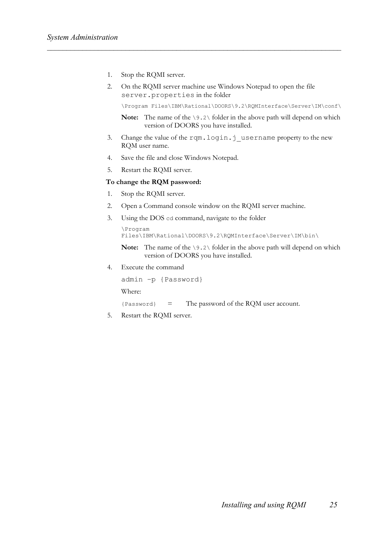- 1. Stop the RQMI server.
- 2. On the RQMI server machine use Windows Notepad to open the file server.properties in the folder

\Program Files\IBM\Rational\DOORS\9.2\RQMInterface\Server\IM\conf\

```
Note: The name of the \9.2\ folder in the above path will depend on which
       version of DOORS you have installed.
```
- 3. Change the value of the rqm.login.j\_username property to the new RQM user name.
- 4. Save the file and close Windows Notepad.
- 5. Restart the RQMI server.

### **To change the RQM password:**

- 1. Stop the RQMI server.
- 2. Open a Command console window on the RQMI server machine.
- 3. Using the DOS cd command, navigate to the folder

```
\Program 
Files\IBM\Rational\DOORS\9.2\RQMInterface\Server\IM\bin\
```

```
Note: The name of the \9.2\ folder in the above path will depend on which
       version of DOORS you have installed.
```
4. Execute the command

```
admin –p {Password} 
Where:
```
- {Password} = The password of the RQM user account.
- 5. Restart the RQMI server.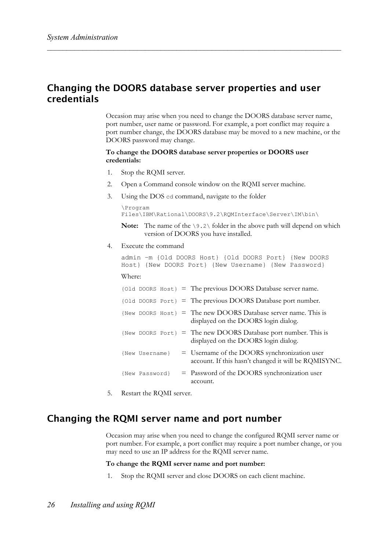## **Changing the DOORS database server properties and user credentials**

Occasion may arise when you need to change the DOORS database server name, port number, user name or password. For example, a port conflict may require a port number change, the DOORS database may be moved to a new machine, or the DOORS password may change.

### **To change the DOORS database server properties or DOORS user credentials:**

- 1. Stop the RQMI server.
- 2. Open a Command console window on the RQMI server machine.
- 3. Using the DOS cd command, navigate to the folder

```
\Program 
Files\IBM\Rational\DOORS\9.2\RQMInterface\Server\IM\bin\
```

```
Note: The name of the \9.2\ folder in the above path will depend on which
       version of DOORS you have installed.
```
4. Execute the command

admin –m {Old DOORS Host} {Old DOORS Port} {New DOORS Host} {New DOORS Port} {New Username} {New Password} Where:

|                |  | {01d DOORS Host} = The previous DOORS Database server name.                                            |
|----------------|--|--------------------------------------------------------------------------------------------------------|
|                |  | {01d DOORS Port} = The previous DOORS Database port number.                                            |
|                |  | {New DOORS Host} = The new DOORS Database server name. This is<br>displayed on the DOORS login dialog. |
|                |  | {New DOORS Port} = The new DOORS Database port number. This is<br>displayed on the DOORS login dialog. |
| {New Username} |  | = Username of the DOORS synchronization user<br>account. If this hasn't changed it will be RQMISYNC.   |
| {New Password} |  | $=$ Password of the DOORS synchronization user<br>account.                                             |

5. Restart the RQMI server.

## **Changing the RQMI server name and port number**

Occasion may arise when you need to change the configured RQMI server name or port number. For example, a port conflict may require a port number change, or you may need to use an IP address for the RQMI server name.

### **To change the RQMI server name and port number:**

1. Stop the RQMI server and close DOORS on each client machine.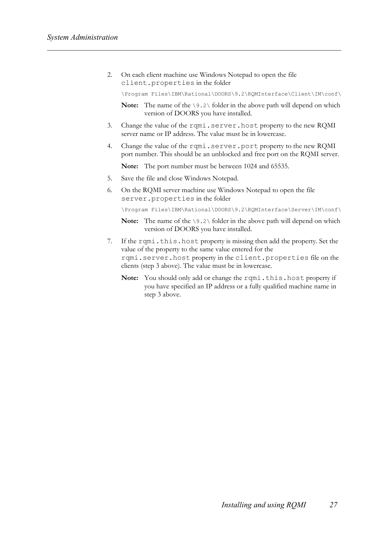2. On each client machine use Windows Notepad to open the file client.properties in the folder

\Program Files\IBM\Rational\DOORS\9.2\RQMInterface\Client\IM\conf\

**Note:** The name of the \9.2\ folder in the above path will depend on which version of DOORS you have installed.

- 3. Change the value of the rqmi.server.host property to the new RQMI server name or IP address. The value must be in lowercase.
- 4. Change the value of the rqmi.server.port property to the new RQMI port number. This should be an unblocked and free port on the RQMI server.

**Note:** The port number must be between 1024 and 65535.

- 5. Save the file and close Windows Notepad.
- 6. On the RQMI server machine use Windows Notepad to open the file server.properties in the folder

\Program Files\IBM\Rational\DOORS\9.2\RQMInterface\Server\IM\conf\

- **Note:** The name of the \9.2\ folder in the above path will depend on which version of DOORS you have installed.
- 7. If the rqmi.this.host property is missing then add the property. Set the value of the property to the same value entered for the rqmi.server.host property in the client.properties file on the clients (step 3 above). The value must be in lowercase.
	- Note: You should only add or change the rqmi.this.host property if you have specified an IP address or a fully qualified machine name in step 3 above.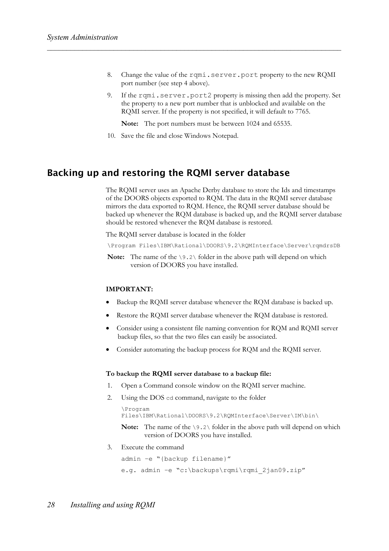- 8. Change the value of the rqmi.server.port property to the new RQMI port number (see step 4 above).
- 9. If the rqmi.server.port2 property is missing then add the property. Set the property to a new port number that is unblocked and available on the RQMI server. If the property is not specified, it will default to 7765.

**Note:** The port numbers must be between 1024 and 65535.

10. Save the file and close Windows Notepad.

## **Backing up and restoring the RQMI server database**

The RQMI server uses an Apache Derby database to store the Ids and timestamps of the DOORS objects exported to RQM. The data in the RQMI server database mirrors the data exported to RQM. Hence, the RQMI server database should be backed up whenever the RQM database is backed up, and the RQMI server database should be restored whenever the RQM database is restored.

The RQMI server database is located in the folder

\Program Files\IBM\Rational\DOORS\9.2\RQMInterface\Server\rqmdrsDB

**Note:** The name of the  $\9.2\$  folder in the above path will depend on which version of DOORS you have installed.

### **IMPORTANT:**

- Backup the RQMI server database whenever the RQM database is backed up.
- Restore the RQMI server database whenever the RQM database is restored.
- Consider using a consistent file naming convention for RQM and RQMI server backup files, so that the two files can easily be associated.
- Consider automating the backup process for RQM and the RQMI server.

### **To backup the RQMI server database to a backup file:**

- 1. Open a Command console window on the RQMI server machine.
- 2. Using the DOS cd command, navigate to the folder

```
\Program 
Files\IBM\Rational\DOORS\9.2\RQMInterface\Server\IM\bin\ 
Note: The name of the \9.2\ folder in the above path will depend on which
```

```
version of DOORS you have installed.
```
3. Execute the command

```
admin –e "{backup filename}" 
e.g. admin -e "c:\backups\rqmi\rqmi 2jan09.zip"
```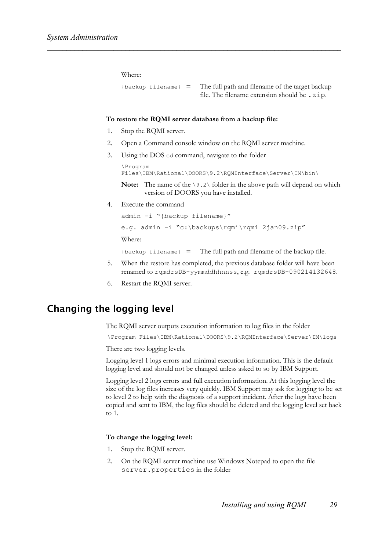Where:

 ${backup}$  filename} = The full path and filename of the target backup file. The filename extension should be .zip.

### **To restore the RQMI server database from a backup file:**

- 1. Stop the RQMI server.
- 2. Open a Command console window on the RQMI server machine.
- 3. Using the DOS cd command, navigate to the folder

```
\Program 
Files\IBM\Rational\DOORS\9.2\RQMInterface\Server\IM\bin\
```
**Note:** The name of the \9.2\ folder in the above path will depend on which version of DOORS you have installed.

4. Execute the command

```
admin –i "{backup filename}" 
e.g. admin -i "c:\backups\rqmi\rqmi 2jan09.zip"
Where:
```
{backup filename} = The full path and filename of the backup file.

- 5. When the restore has completed, the previous database folder will have been renamed to rqmdrsDB-yymmddhhnnss, e.g. rqmdrsDB-090214132648.
- 6. Restart the RQMI server.

## **Changing the logging level**

The RQMI server outputs execution information to log files in the folder

\Program Files\IBM\Rational\DOORS\9.2\RQMInterface\Server\IM\logs

There are two logging levels.

Logging level 1 logs errors and minimal execution information. This is the default logging level and should not be changed unless asked to so by IBM Support.

Logging level 2 logs errors and full execution information. At this logging level the size of the log files increases very quickly. IBM Support may ask for logging to be set to level 2 to help with the diagnosis of a support incident. After the logs have been copied and sent to IBM, the log files should be deleted and the logging level set back to 1.

### **To change the logging level:**

- 1. Stop the RQMI server.
- 2. On the RQMI server machine use Windows Notepad to open the file server.properties in the folder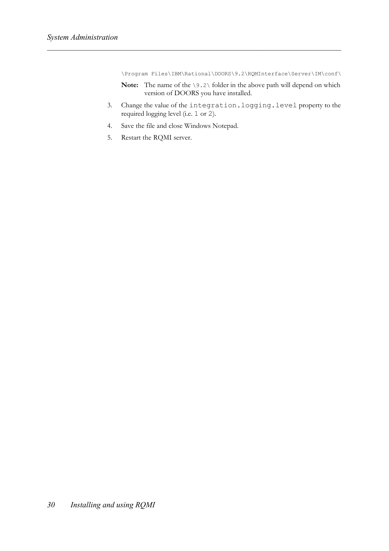\Program Files\IBM\Rational\DOORS\9.2\RQMInterface\Server\IM\conf\

- **Note:** The name of the \9.2\ folder in the above path will depend on which version of DOORS you have installed.
- 3. Change the value of the integration.logging.level property to the required logging level (i.e. 1 or 2).
- 4. Save the file and close Windows Notepad.
- 5. Restart the RQMI server.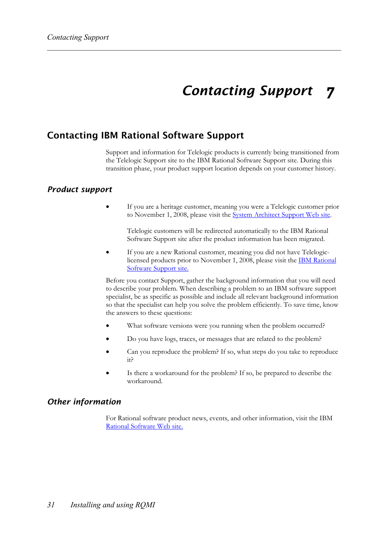### *Contacting Support 7*

## **Contacting IBM Rational Software Support**

Support and information for Telelogic products is currently being transitioned from the Telelogic Support site to the IBM Rational Software Support site. During this transition phase, your product support location depends on your customer history.

### *Product support*

• If you are a heritage customer, meaning you were a Telelogic customer prior to November 1, 2008, please visit the System Architect Support Web site.

Telelogic customers will be redirected automatically to the IBM Rational Software Support site after the product information has been migrated.

• If you are a new Rational customer, meaning you did not have Telelogiclicensed products prior to November 1, 2008, please visit the **IBM Rational** Software Support site.

Before you contact Support, gather the background information that you will need to describe your problem. When describing a problem to an IBM software support specialist, be as specific as possible and include all relevant background information so that the specialist can help you solve the problem efficiently. To save time, know the answers to these questions:

- What software versions were you running when the problem occurred?
- Do you have logs, traces, or messages that are related to the problem?
- Can you reproduce the problem? If so, what steps do you take to reproduce it?
- Is there a workaround for the problem? If so, be prepared to describe the workaround.

### *Other information*

For Rational software product news, events, and other information, visit the IBM Rational Software Web site.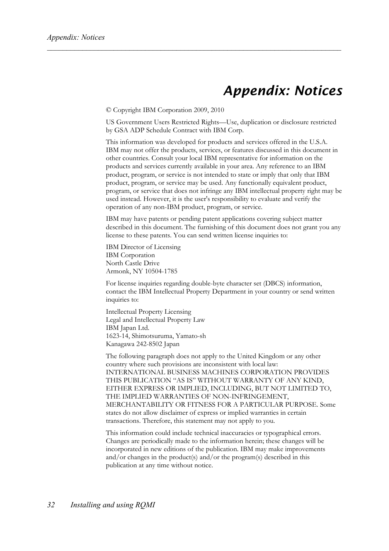# *Appendix: Notices*

© Copyright IBM Corporation 2009, 2010

US Government Users Restricted Rights—Use, duplication or disclosure restricted by GSA ADP Schedule Contract with IBM Corp.

This information was developed for products and services offered in the U.S.A. IBM may not offer the products, services, or features discussed in this document in other countries. Consult your local IBM representative for information on the products and services currently available in your area. Any reference to an IBM product, program, or service is not intended to state or imply that only that IBM product, program, or service may be used. Any functionally equivalent product, program, or service that does not infringe any IBM intellectual property right may be used instead. However, it is the user's responsibility to evaluate and verify the operation of any non-IBM product, program, or service.

IBM may have patents or pending patent applications covering subject matter described in this document. The furnishing of this document does not grant you any license to these patents. You can send written license inquiries to:

IBM Director of Licensing IBM Corporation North Castle Drive Armonk, NY 10504-1785

For license inquiries regarding double-byte character set (DBCS) information, contact the IBM Intellectual Property Department in your country or send written inquiries to:

Intellectual Property Licensing Legal and Intellectual Property Law IBM Japan Ltd. 1623-14, Shimotsuruma, Yamato-sh Kanagawa 242-8502 Japan

The following paragraph does not apply to the United Kingdom or any other country where such provisions are inconsistent with local law: INTERNATIONAL BUSINESS MACHINES CORPORATION PROVIDES THIS PUBLICATION "AS IS" WITHOUT WARRANTY OF ANY KIND, EITHER EXPRESS OR IMPLIED, INCLUDING, BUT NOT LIMITED TO, THE IMPLIED WARRANTIES OF NON-INFRINGEMENT, MERCHANTABILITY OR FITNESS FOR A PARTICULAR PURPOSE. Some states do not allow disclaimer of express or implied warranties in certain transactions. Therefore, this statement may not apply to you.

This information could include technical inaccuracies or typographical errors. Changes are periodically made to the information herein; these changes will be incorporated in new editions of the publication. IBM may make improvements and/or changes in the product(s) and/or the program(s) described in this publication at any time without notice.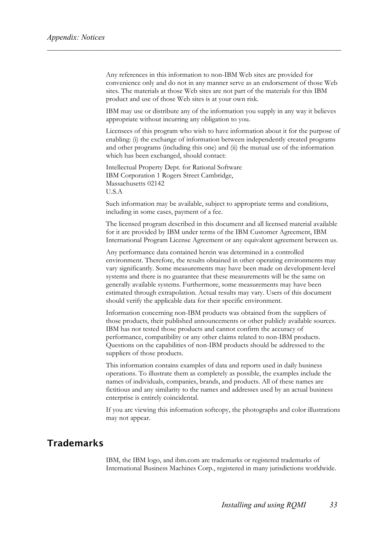Any references in this information to non-IBM Web sites are provided for convenience only and do not in any manner serve as an endorsement of those Web sites. The materials at those Web sites are not part of the materials for this IBM product and use of those Web sites is at your own risk.

IBM may use or distribute any of the information you supply in any way it believes appropriate without incurring any obligation to you.

Licensees of this program who wish to have information about it for the purpose of enabling: (i) the exchange of information between independently created programs and other programs (including this one) and (ii) the mutual use of the information which has been exchanged, should contact:

Intellectual Property Dept. for Rational Software IBM Corporation 1 Rogers Street Cambridge, Massachusetts 02142 U.S.A

Such information may be available, subject to appropriate terms and conditions, including in some cases, payment of a fee.

The licensed program described in this document and all licensed material available for it are provided by IBM under terms of the IBM Customer Agreement, IBM International Program License Agreement or any equivalent agreement between us.

Any performance data contained herein was determined in a controlled environment. Therefore, the results obtained in other operating environments may vary significantly. Some measurements may have been made on development-level systems and there is no guarantee that these measurements will be the same on generally available systems. Furthermore, some measurements may have been estimated through extrapolation. Actual results may vary. Users of this document should verify the applicable data for their specific environment.

Information concerning non-IBM products was obtained from the suppliers of those products, their published announcements or other publicly available sources. IBM has not tested those products and cannot confirm the accuracy of performance, compatibility or any other claims related to non-IBM products. Questions on the capabilities of non-IBM products should be addressed to the suppliers of those products.

This information contains examples of data and reports used in daily business operations. To illustrate them as completely as possible, the examples include the names of individuals, companies, brands, and products. All of these names are fictitious and any similarity to the names and addresses used by an actual business enterprise is entirely coincidental.

If you are viewing this information softcopy, the photographs and color illustrations may not appear.

## **Trademarks**

IBM, the IBM logo, and ibm.com are trademarks or registered trademarks of International Business Machines Corp., registered in many jurisdictions worldwide.